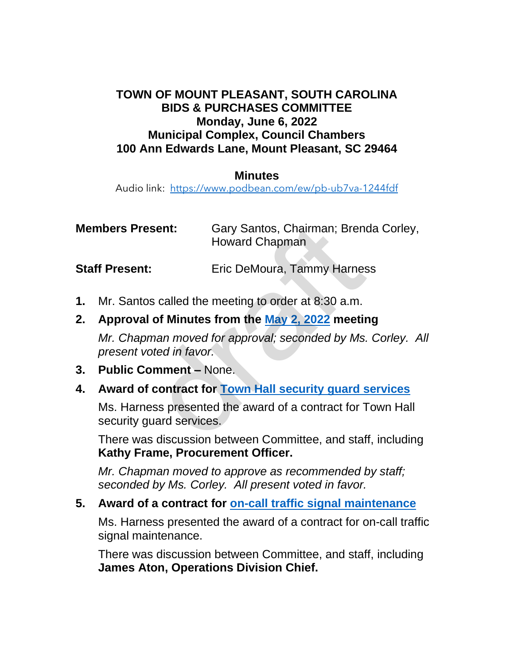### **TOWN OF MOUNT PLEASANT, SOUTH CAROLINA BIDS & PURCHASES COMMITTEE Monday, June 6, 2022 Municipal Complex, Council Chambers 100 Ann Edwards Lane, Mount Pleasant, SC 29464**

#### **Minutes**

Audio link: <https://www.podbean.com/ew/pb-ub7va-1244fdf>

| <b>Members Present:</b> |                                                                                      | Gary Santos, Chairman; Brenda Corley,<br><b>Howard Chapman</b> |
|-------------------------|--------------------------------------------------------------------------------------|----------------------------------------------------------------|
|                         | <b>Staff Present:</b>                                                                | Eric DeMoura, Tammy Harness                                    |
|                         | 1. Mr. Santos called the meeting to order at 8:30 a.m.                               |                                                                |
| 2.                      | Approval of Minutes from the May 2, 2022 meeting                                     |                                                                |
|                         | Mr. Chapman moved for approval; seconded by Ms. Corley. A<br>present voted in favor. |                                                                |
| 3.                      | <b>Public Comment - None.</b>                                                        |                                                                |
| 4.                      | Award of contract for Town Hall security guard services                              |                                                                |
|                         | security guard services.                                                             | Ms. Harness presented the award of a contract for Town Hall    |
|                         | There was discussion between Committee, and staff, including                         |                                                                |

- **1.** Mr. Santos called the meeting to order at 8:30 a.m.
- **2. Approval of Minutes from the May 2, 2022 meeting** *Mr. Chapman moved for approval; seconded by Ms. Corley. All*

- **3. Public Comment –** None.
- **4. Award of contract for Town Hall security guard services**

There was discussion between Committee, and staff, including **Kathy Frame, Procurement Officer.**

*Mr. Chapman moved to approve as recommended by staff; seconded by Ms. Corley. All present voted in favor.*

**5. Award of a contract for [on-call traffic signal maintenance](https://www.tompsc.com/DocumentCenter/View/41882/BP-Recommendation---On-Call-Traffic-Signal-Maintenance)**

Ms. Harness presented the award of a contract for on-call traffic signal maintenance.

There was discussion between Committee, and staff, including **James Aton, Operations Division Chief.**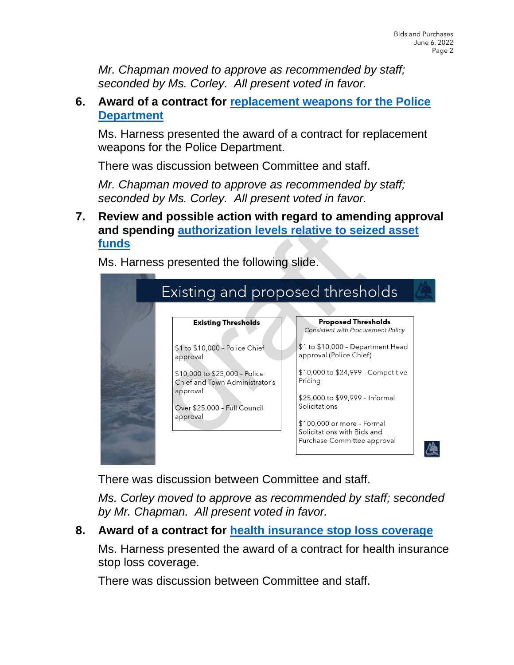*Mr. Chapman moved to approve as recommended by staff; seconded by Ms. Corley. All present voted in favor.*

## **6. Award of a contract for [replacement weapons](https://www.tompsc.com/DocumentCenter/View/41883/BP-Recommendation---Replacement-Police-Weapons) for the Police [Department](https://www.tompsc.com/DocumentCenter/View/41883/BP-Recommendation---Replacement-Police-Weapons)**

Ms. Harness presented the award of a contract for replacement weapons for the Police Department.

There was discussion between Committee and staff.

*Mr. Chapman moved to approve as recommended by staff; seconded by Ms. Corley. All present voted in favor.*

## **7. Review and possible action with regard to amending approval and spending [authorization levels relative to seized asset](https://www.tompsc.com/DocumentCenter/View/41886/Resolution---Seized-Assets-Fund-Thresholds)  [funds](https://www.tompsc.com/DocumentCenter/View/41886/Resolution---Seized-Assets-Fund-Thresholds)**

**Existing and proposed thresh**<br>
Existing and proposed thresh<br>
Existing and proposed thresh<br>
Existing Thresholds<br>
St to \$10,000 - Police Chief<br>
St to \$10,000 - Police Chief<br>
St to \$10,000 - Police<br>
St to \$10,000 - Police<br>
S 像

Ms. Harness presented the following slide.

There was discussion between Committee and staff.

*Ms. Corley moved to approve as recommended by staff; seconded by Mr. Chapman. All present voted in favor.*

# **8. Award of a contract for [health insurance stop loss coverage](https://www.tompsc.com/DocumentCenter/View/41884/BP-Recommendation---Stop-Loss-Insurance)**

Ms. Harness presented the award of a contract for health insurance stop loss coverage.

There was discussion between Committee and staff.